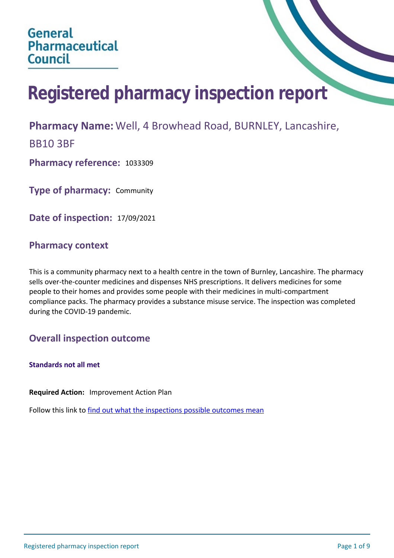# **Registered pharmacy inspection report**

## **Pharmacy Name:** Well, 4 Browhead Road, BURNLEY, Lancashire,

BB10 3BF

**Pharmacy reference:** 1033309

**Type of pharmacy:** Community

**Date of inspection:** 17/09/2021

## **Pharmacy context**

This is a community pharmacy next to a health centre in the town of Burnley, Lancashire. The pharmacy sells over-the-counter medicines and dispenses NHS prescriptions. It delivers medicines for some people to their homes and provides some people with their medicines in multi-compartment compliance packs. The pharmacy provides a substance misuse service. The inspection was completed during the COVID-19 pandemic.

## **Overall inspection outcome**

**Standards not all met**

**Required Action:** Improvement Action Plan

Follow this link to [find out what the inspections possible outcomes mean](#page-8-0)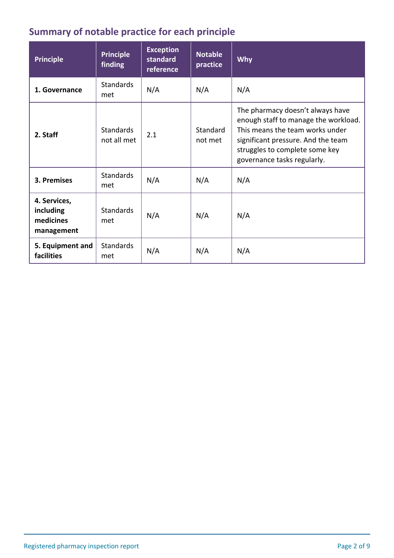# **Summary of notable practice for each principle**

| <b>Principle</b>                                     | <b>Principle</b><br>finding     | <b>Exception</b><br>standard<br>reference | <b>Notable</b><br>practice | Why                                                                                                                                                                                                                |
|------------------------------------------------------|---------------------------------|-------------------------------------------|----------------------------|--------------------------------------------------------------------------------------------------------------------------------------------------------------------------------------------------------------------|
| 1. Governance                                        | <b>Standards</b><br>met         | N/A                                       | N/A                        | N/A                                                                                                                                                                                                                |
| 2. Staff                                             | <b>Standards</b><br>not all met | 2.1                                       | Standard<br>not met        | The pharmacy doesn't always have<br>enough staff to manage the workload.<br>This means the team works under<br>significant pressure. And the team<br>struggles to complete some key<br>governance tasks regularly. |
| 3. Premises                                          | <b>Standards</b><br>met         | N/A                                       | N/A                        | N/A                                                                                                                                                                                                                |
| 4. Services,<br>including<br>medicines<br>management | <b>Standards</b><br>met         | N/A                                       | N/A                        | N/A                                                                                                                                                                                                                |
| 5. Equipment and<br>facilities                       | <b>Standards</b><br>met         | N/A                                       | N/A                        | N/A                                                                                                                                                                                                                |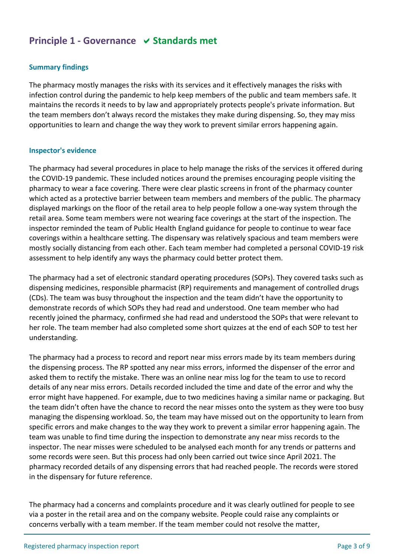## **Principle 1 - Governance √ Standards met**

#### **Summary findings**

The pharmacy mostly manages the risks with its services and it effectively manages the risks with infection control during the pandemic to help keep members of the public and team members safe. It maintains the records it needs to by law and appropriately protects people's private information. But the team members don't always record the mistakes they make during dispensing. So, they may miss opportunities to learn and change the way they work to prevent similar errors happening again.

#### **Inspector's evidence**

The pharmacy had several procedures in place to help manage the risks of the services it offered during the COVID-19 pandemic. These included notices around the premises encouraging people visiting the pharmacy to wear a face covering. There were clear plastic screens in front of the pharmacy counter which acted as a protective barrier between team members and members of the public. The pharmacy displayed markings on the floor of the retail area to help people follow a one-way system through the retail area. Some team members were not wearing face coverings at the start of the inspection. The inspector reminded the team of Public Health England guidance for people to continue to wear face coverings within a healthcare setting. The dispensary was relatively spacious and team members were mostly socially distancing from each other. Each team member had completed a personal COVID-19 risk assessment to help identify any ways the pharmacy could better protect them.

The pharmacy had a set of electronic standard operating procedures (SOPs). They covered tasks such as dispensing medicines, responsible pharmacist (RP) requirements and management of controlled drugs (CDs). The team was busy throughout the inspection and the team didn't have the opportunity to demonstrate records of which SOPs they had read and understood. One team member who had recently joined the pharmacy, confirmed she had read and understood the SOPs that were relevant to her role. The team member had also completed some short quizzes at the end of each SOP to test her understanding.

The pharmacy had a process to record and report near miss errors made by its team members during the dispensing process. The RP spotted any near miss errors, informed the dispenser of the error and asked them to rectify the mistake. There was an online near miss log for the team to use to record details of any near miss errors. Details recorded included the time and date of the error and why the error might have happened. For example, due to two medicines having a similar name or packaging. But the team didn't often have the chance to record the near misses onto the system as they were too busy managing the dispensing workload. So, the team may have missed out on the opportunity to learn from specific errors and make changes to the way they work to prevent a similar error happening again. The team was unable to find time during the inspection to demonstrate any near miss records to the inspector. The near misses were scheduled to be analysed each month for any trends or patterns and some records were seen. But this process had only been carried out twice since April 2021. The pharmacy recorded details of any dispensing errors that had reached people. The records were stored in the dispensary for future reference.

The pharmacy had a concerns and complaints procedure and it was clearly outlined for people to see via a poster in the retail area and on the company website. People could raise any complaints or concerns verbally with a team member. If the team member could not resolve the matter,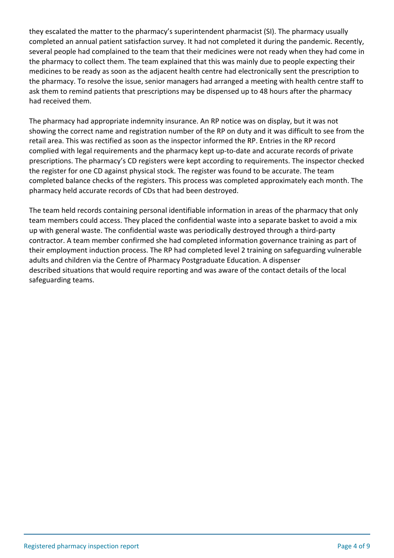they escalated the matter to the pharmacy's superintendent pharmacist (SI). The pharmacy usually completed an annual patient satisfaction survey. It had not completed it during the pandemic. Recently, several people had complained to the team that their medicines were not ready when they had come in the pharmacy to collect them. The team explained that this was mainly due to people expecting their medicines to be ready as soon as the adjacent health centre had electronically sent the prescription to the pharmacy. To resolve the issue, senior managers had arranged a meeting with health centre staff to ask them to remind patients that prescriptions may be dispensed up to 48 hours after the pharmacy had received them.

The pharmacy had appropriate indemnity insurance. An RP notice was on display, but it was not showing the correct name and registration number of the RP on duty and it was difficult to see from the retail area. This was rectified as soon as the inspector informed the RP. Entries in the RP record complied with legal requirements and the pharmacy kept up-to-date and accurate records of private prescriptions. The pharmacy's CD registers were kept according to requirements. The inspector checked the register for one CD against physical stock. The register was found to be accurate. The team completed balance checks of the registers. This process was completed approximately each month. The pharmacy held accurate records of CDs that had been destroyed.

The team held records containing personal identifiable information in areas of the pharmacy that only team members could access. They placed the confidential waste into a separate basket to avoid a mix up with general waste. The confidential waste was periodically destroyed through a third-party contractor. A team member confirmed she had completed information governance training as part of their employment induction process. The RP had completed level 2 training on safeguarding vulnerable adults and children via the Centre of Pharmacy Postgraduate Education. A dispenser described situations that would require reporting and was aware of the contact details of the local safeguarding teams.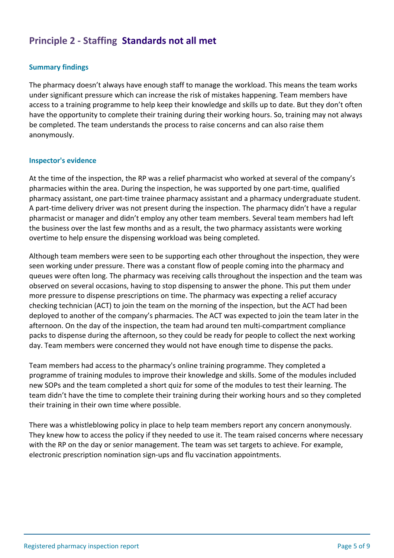## **Principle 2 - Staffing Standards not all met**

## **Summary findings**

The pharmacy doesn't always have enough staff to manage the workload. This means the team works under significant pressure which can increase the risk of mistakes happening. Team members have access to a training programme to help keep their knowledge and skills up to date. But they don't often have the opportunity to complete their training during their working hours. So, training may not always be completed. The team understands the process to raise concerns and can also raise them anonymously.

#### **Inspector's evidence**

At the time of the inspection, the RP was a relief pharmacist who worked at several of the company's pharmacies within the area. During the inspection, he was supported by one part-time, qualified pharmacy assistant, one part-time trainee pharmacy assistant and a pharmacy undergraduate student. A part-time delivery driver was not present during the inspection. The pharmacy didn't have a regular pharmacist or manager and didn't employ any other team members. Several team members had left the business over the last few months and as a result, the two pharmacy assistants were working overtime to help ensure the dispensing workload was being completed.

Although team members were seen to be supporting each other throughout the inspection, they were seen working under pressure. There was a constant flow of people coming into the pharmacy and queues were often long. The pharmacy was receiving calls throughout the inspection and the team was observed on several occasions, having to stop dispensing to answer the phone. This put them under more pressure to dispense prescriptions on time. The pharmacy was expecting a relief accuracy checking technician (ACT) to join the team on the morning of the inspection, but the ACT had been deployed to another of the company's pharmacies. The ACT was expected to join the team later in the afternoon. On the day of the inspection, the team had around ten multi-compartment compliance packs to dispense during the afternoon, so they could be ready for people to collect the next working day. Team members were concerned they would not have enough time to dispense the packs.

Team members had access to the pharmacy's online training programme. They completed a programme of training modules to improve their knowledge and skills. Some of the modules included new SOPs and the team completed a short quiz for some of the modules to test their learning. The team didn't have the time to complete their training during their working hours and so they completed their training in their own time where possible.

There was a whistleblowing policy in place to help team members report any concern anonymously. They knew how to access the policy if they needed to use it. The team raised concerns where necessary with the RP on the day or senior management. The team was set targets to achieve. For example, electronic prescription nomination sign-ups and flu vaccination appointments.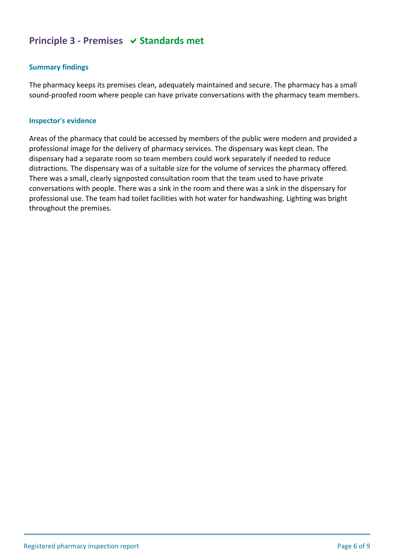## **Principle 3 - Premises**  $\vee$  **Standards met**

## **Summary findings**

The pharmacy keeps its premises clean, adequately maintained and secure. The pharmacy has a small sound-proofed room where people can have private conversations with the pharmacy team members.

#### **Inspector's evidence**

Areas of the pharmacy that could be accessed by members of the public were modern and provided a professional image for the delivery of pharmacy services. The dispensary was kept clean. The dispensary had a separate room so team members could work separately if needed to reduce distractions. The dispensary was of a suitable size for the volume of services the pharmacy offered. There was a small, clearly signposted consultation room that the team used to have private conversations with people. There was a sink in the room and there was a sink in the dispensary for professional use. The team had toilet facilities with hot water for handwashing. Lighting was bright throughout the premises.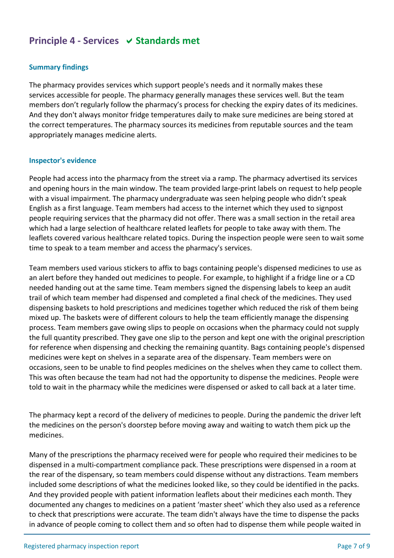## **Principle 4 - Services**  $\vee$  **Standards met**

## **Summary findings**

The pharmacy provides services which support people's needs and it normally makes these services accessible for people. The pharmacy generally manages these services well. But the team members don't regularly follow the pharmacy's process for checking the expiry dates of its medicines. And they don't always monitor fridge temperatures daily to make sure medicines are being stored at the correct temperatures. The pharmacy sources its medicines from reputable sources and the team appropriately manages medicine alerts.

#### **Inspector's evidence**

People had access into the pharmacy from the street via a ramp. The pharmacy advertised its services and opening hours in the main window. The team provided large-print labels on request to help people with a visual impairment. The pharmacy undergraduate was seen helping people who didn't speak English as a first language. Team members had access to the internet which they used to signpost people requiring services that the pharmacy did not offer. There was a small section in the retail area which had a large selection of healthcare related leaflets for people to take away with them. The leaflets covered various healthcare related topics. During the inspection people were seen to wait some time to speak to a team member and access the pharmacy's services.

Team members used various stickers to affix to bags containing people's dispensed medicines to use as an alert before they handed out medicines to people. For example, to highlight if a fridge line or a CD needed handing out at the same time. Team members signed the dispensing labels to keep an audit trail of which team member had dispensed and completed a final check of the medicines. They used dispensing baskets to hold prescriptions and medicines together which reduced the risk of them being mixed up. The baskets were of different colours to help the team efficiently manage the dispensing process. Team members gave owing slips to people on occasions when the pharmacy could not supply the full quantity prescribed. They gave one slip to the person and kept one with the original prescription for reference when dispensing and checking the remaining quantity. Bags containing people's dispensed medicines were kept on shelves in a separate area of the dispensary. Team members were on occasions, seen to be unable to find peoples medicines on the shelves when they came to collect them. This was often because the team had not had the opportunity to dispense the medicines. People were told to wait in the pharmacy while the medicines were dispensed or asked to call back at a later time.

The pharmacy kept a record of the delivery of medicines to people. During the pandemic the driver left the medicines on the person's doorstep before moving away and waiting to watch them pick up the medicines.

Many of the prescriptions the pharmacy received were for people who required their medicines to be dispensed in a multi-compartment compliance pack. These prescriptions were dispensed in a room at the rear of the dispensary, so team members could dispense without any distractions. Team members included some descriptions of what the medicines looked like, so they could be identified in the packs. And they provided people with patient information leaflets about their medicines each month. They documented any changes to medicines on a patient 'master sheet' which they also used as a reference to check that prescriptions were accurate. The team didn't always have the time to dispense the packs in advance of people coming to collect them and so often had to dispense them while people waited in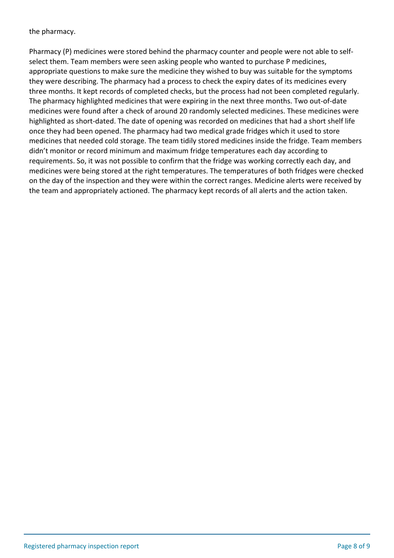the pharmacy.

Pharmacy (P) medicines were stored behind the pharmacy counter and people were not able to selfselect them. Team members were seen asking people who wanted to purchase P medicines, appropriate questions to make sure the medicine they wished to buy was suitable for the symptoms they were describing. The pharmacy had a process to check the expiry dates of its medicines every three months. It kept records of completed checks, but the process had not been completed regularly. The pharmacy highlighted medicines that were expiring in the next three months. Two out-of-date medicines were found after a check of around 20 randomly selected medicines. These medicines were highlighted as short-dated. The date of opening was recorded on medicines that had a short shelf life once they had been opened. The pharmacy had two medical grade fridges which it used to store medicines that needed cold storage. The team tidily stored medicines inside the fridge. Team members didn't monitor or record minimum and maximum fridge temperatures each day according to requirements. So, it was not possible to confirm that the fridge was working correctly each day, and medicines were being stored at the right temperatures. The temperatures of both fridges were checked on the day of the inspection and they were within the correct ranges. Medicine alerts were received by the team and appropriately actioned. The pharmacy kept records of all alerts and the action taken.